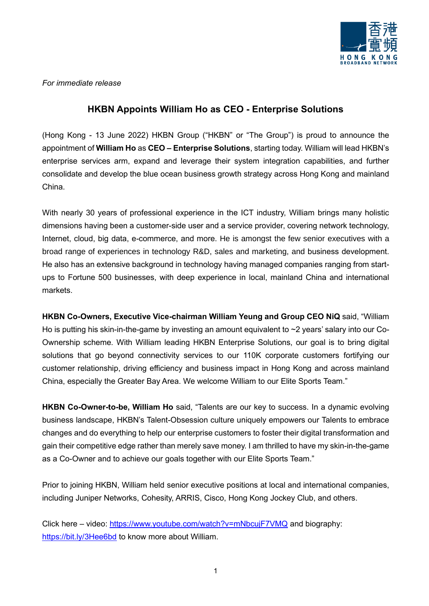

*For immediate release*

## **HKBN Appoints William Ho as CEO - Enterprise Solutions**

(Hong Kong - 13 June 2022) HKBN Group ("HKBN" or "The Group") is proud to announce the appointment of **William Ho** as **CEO – Enterprise Solutions**, starting today. William will lead HKBN's enterprise services arm, expand and leverage their system integration capabilities, and further consolidate and develop the blue ocean business growth strategy across Hong Kong and mainland China.

With nearly 30 years of professional experience in the ICT industry, William brings many holistic dimensions having been a customer-side user and a service provider, covering network technology, Internet, cloud, big data, e-commerce, and more. He is amongst the few senior executives with a broad range of experiences in technology R&D, sales and marketing, and business development. He also has an extensive background in technology having managed companies ranging from startups to Fortune 500 businesses, with deep experience in local, mainland China and international markets.

**HKBN Co-Owners, Executive Vice-chairman William Yeung and Group CEO NiQ** said, "William Ho is putting his skin-in-the-game by investing an amount equivalent to ~2 years' salary into our Co-Ownership scheme. With William leading HKBN Enterprise Solutions, our goal is to bring digital solutions that go beyond connectivity services to our 110K corporate customers fortifying our customer relationship, driving efficiency and business impact in Hong Kong and across mainland China, especially the Greater Bay Area. We welcome William to our Elite Sports Team."

**HKBN Co-Owner-to-be, William Ho** said, "Talents are our key to success. In a dynamic evolving business landscape, HKBN's Talent-Obsession culture uniquely empowers our Talents to embrace changes and do everything to help our enterprise customers to foster their digital transformation and gain their competitive edge rather than merely save money. I am thrilled to have my skin-in-the-game as a Co-Owner and to achieve our goals together with our Elite Sports Team."

Prior to joining HKBN, William held senior executive positions at local and international companies, including Juniper Networks, Cohesity, ARRIS, Cisco, Hong Kong Jockey Club, and others.

Click here – video:<https://www.youtube.com/watch?v=mNbcujF7VMQ> and biography: <https://bit.ly/3Hee6bd> to know more about William.